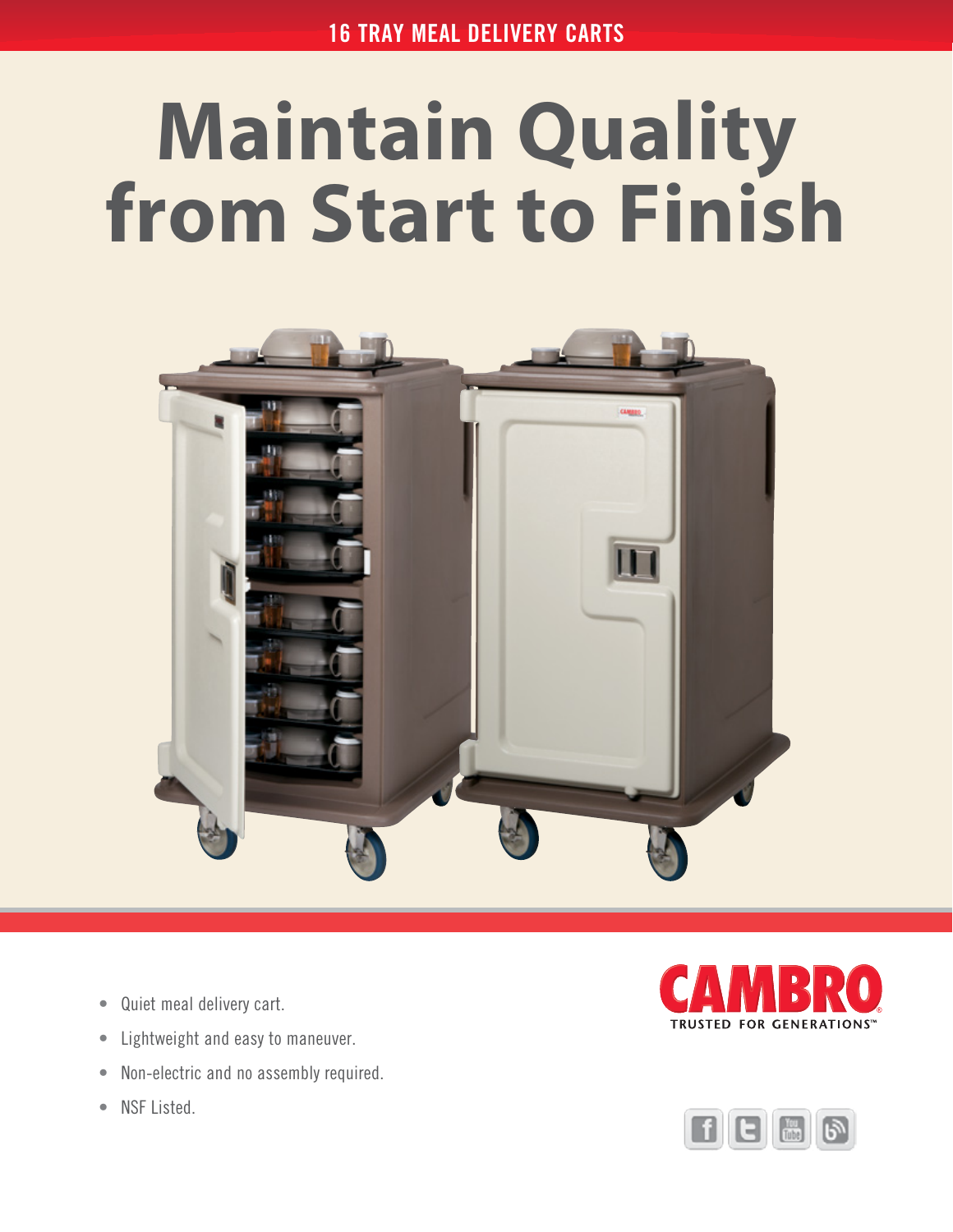## **Maintain Quality from Start to Finish**



- Quiet meal delivery cart.
- Lightweight and easy to maneuver.
- Non-electric and no assembly required.
- NSF Listed.